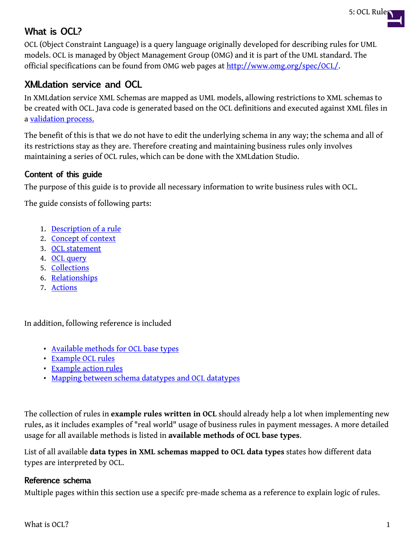

# **What is OCL?**

OCL (Object Constraint Language) is a query language originally developed for describing rules for UML models. OCL is managed by Object Management Group (OMG) and it is part of the UML standard. The official specifications can be found from OMG web pages at <http://www.omg.org/spec/OCL/>.

## **XMLdation service and OCL**

In XMLdation service XML Schemas are mapped as UML models, allowing restrictions to XML schemas to be created with OCL. Java code is generated based on the OCL definitions and executed against XML files in a [validation process.](https://wiki.xmldation.com/User_Guides/Service/Validator/Validation_process)

The benefit of this is that we do not have to edit the underlying schema in any way; the schema and all of its restrictions stay as they are. Therefore creating and maintaining business rules only involves maintaining a series of OCL rules, which can be done with the XMLdation Studio.

### **Content of this guide**

The purpose of this guide is to provide all necessary information to write business rules with OCL.

The guide consists of following parts:

- 1. [Description of a rule](https://wiki.xmldation.com/User_Guides/Studio/5%3A_OCL_Rules/1._Description_of_a_rule)
- 2. [Concept of context](https://wiki.xmldation.com/User_Guides/Studio/5%3A_OCL_Rules/2._Concept_of_Context)
- 3. [OCL statement](https://wiki.xmldation.com/User_Guides/Studio/5%3A_OCL_Rules/3._OCL_statement)
- 4. [OCL query](https://wiki.xmldation.com/User_Guides/Studio/5%3A_OCL_Rules/4._Message_location)
- 5. [Collections](https://wiki.xmldation.com/User_Guides/Studio/5%3A_OCL_Rules/5._Collections)
- 6. [Relationships](https://wiki.xmldation.com/User_Guides/Studio/5%3A_OCL_Rules/6._Relationships)
- 7. [Actions](https://wiki.xmldation.com/User_Guides/Studio/5%3A_OCL_Rules/7._Actions)

In addition, following reference is included

- [Available methods for OCL base types](https://wiki.xmldation.com/User_Guides/Studio/5%3A_OCL_Rules/Available_methods_for_OCL_base_types)
- [Example OCL rules](https://wiki.xmldation.com/User_Guides/Studio/5%3A_OCL_Rules/Example_OCL_rules)
- [Example action rules](https://wiki.xmldation.com/Example_action_rules)
- [Mapping between schema datatypes and OCL datatypes](https://wiki.xmldation.com/User_Guides/Studio/5%3A_OCL_Rules/Mapping_between_schema_datatypes_and_OCL_Base_types)

The collection of rules in **example rules written in OCL** should already help a lot when implementing new rules, as it includes examples of "real world" usage of business rules in payment messages. A more detailed usage for all available methods is listed in **available methods of OCL base types**.

List of all available **data types in XML schemas mapped to OCL data types** states how different data types are interpreted by OCL.

#### **Reference schema**

Multiple pages within this section use a specifc pre-made schema as a reference to explain logic of rules.